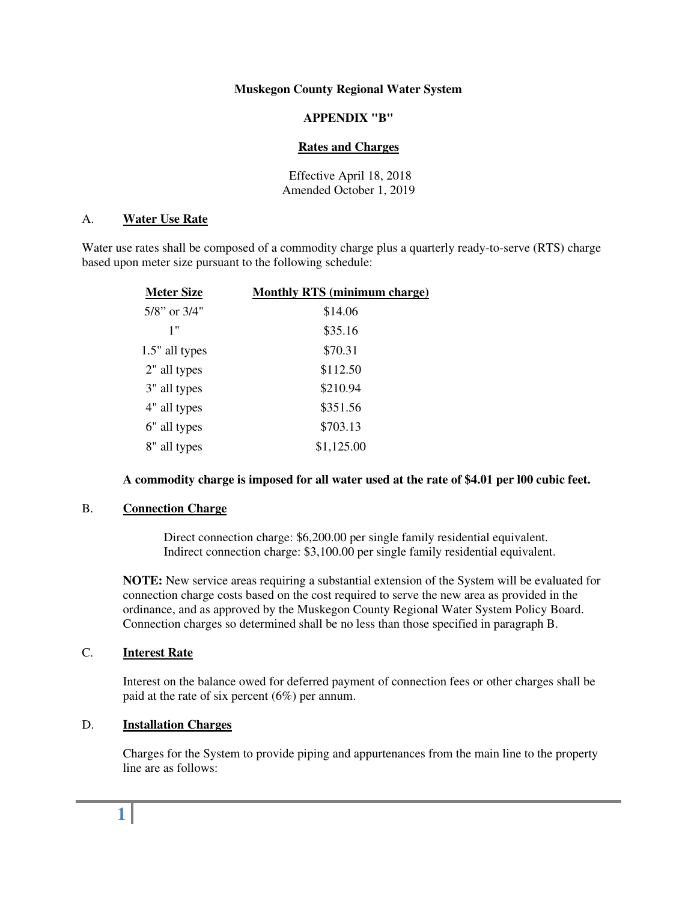#### **Muskegon County Regional Water System**

### **APPENDIX "B"**

#### **Rates and Charges**

Effective April 18, 2018 Amended October 1, 2019

#### A. **Water Use Rate**

Water use rates shall be composed of a commodity charge plus a quarterly ready-to-serve (RTS) charge based upon meter size pursuant to the following schedule:

| <b>Meter Size</b>  | <b>Monthly RTS (minimum charge)</b> |
|--------------------|-------------------------------------|
| $5/8$ " or $3/4$ " | \$14.06                             |
| 1"                 | \$35.16                             |
| 1.5" all types     | \$70.31                             |
| 2" all types       | \$112.50                            |
| 3" all types       | \$210.94                            |
| 4" all types       | \$351.56                            |
| 6" all types       | \$703.13                            |
| 8" all types       | \$1,125.00                          |

## **A commodity charge is imposed for all water used at the rate of \$4.01 per l00 cubic feet.**

#### B. **Connection Charge**

 Direct connection charge: \$6,200.00 per single family residential equivalent. Indirect connection charge: \$3,100.00 per single family residential equivalent.

**NOTE:** New service areas requiring a substantial extension of the System will be evaluated for connection charge costs based on the cost required to serve the new area as provided in the ordinance, and as approved by the Muskegon County Regional Water System Policy Board. Connection charges so determined shall be no less than those specified in paragraph B.

# C. **Interest Rate**

Interest on the balance owed for deferred payment of connection fees or other charges shall be paid at the rate of six percent (6%) per annum.

## D. **Installation Charges**

Charges for the System to provide piping and appurtenances from the main line to the property line are as follows:

# **1**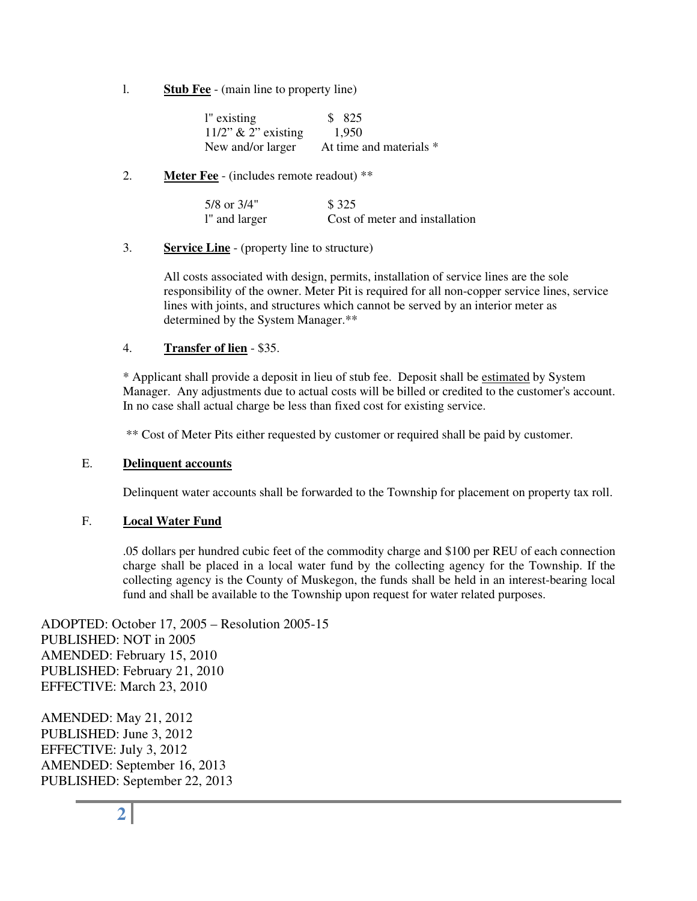l. **Stub Fee** - (main line to property line)

| l" existing            | \$ 825                  |
|------------------------|-------------------------|
| $11/2$ " & 2" existing | 1.950                   |
| New and/or larger      | At time and materials * |

# 2. **Meter Fee** - (includes remote readout) \*\*

| 5/8 or 3/4"   | \$ 325                         |
|---------------|--------------------------------|
| l" and larger | Cost of meter and installation |

# 3. **Service Line** - (property line to structure)

All costs associated with design, permits, installation of service lines are the sole responsibility of the owner. Meter Pit is required for all non-copper service lines, service lines with joints, and structures which cannot be served by an interior meter as determined by the System Manager.\*\*

# 4. **Transfer of lien** - \$35.

\* Applicant shall provide a deposit in lieu of stub fee. Deposit shall be estimated by System Manager. Any adjustments due to actual costs will be billed or credited to the customer's account. In no case shall actual charge be less than fixed cost for existing service.

\*\* Cost of Meter Pits either requested by customer or required shall be paid by customer.

## E. **Delinquent accounts**

Delinquent water accounts shall be forwarded to the Township for placement on property tax roll.

# F. **Local Water Fund**

.05 dollars per hundred cubic feet of the commodity charge and \$100 per REU of each connection charge shall be placed in a local water fund by the collecting agency for the Township. If the collecting agency is the County of Muskegon, the funds shall be held in an interest-bearing local fund and shall be available to the Township upon request for water related purposes.

ADOPTED: October 17, 2005 – Resolution 2005-15 PUBLISHED: NOT in 2005 AMENDED: February 15, 2010 PUBLISHED: February 21, 2010 EFFECTIVE: March 23, 2010

AMENDED: May 21, 2012 PUBLISHED: June 3, 2012 EFFECTIVE: July 3, 2012 AMENDED: September 16, 2013 PUBLISHED: September 22, 2013